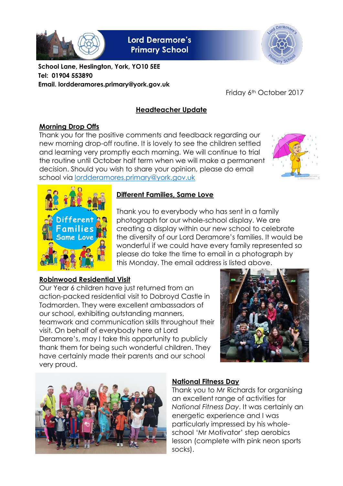

**Lord Deramore's Primary School** 



**School Lane, Heslington, York, YO10 5EE Tel: 01904 553890 Email. lordderamores.primary@york.gov.uk**

Friday 6th October 2017

# **Headteacher Update**

# **Morning Drop Offs**

Thank you for the positive comments and feedback regarding our new morning drop-off routine. It is lovely to see the children settled and learning very promptly each morning. We will continue to trial the routine until October half term when we will make a permanent decision. Should you wish to share your opinion, please do email school via [lordderamores.primary@york.gov.uk](mailto:lordderamores.primary@york.gov.uk)





# **Different Families, Same Love**

Thank you to everybody who has sent in a family photograph for our whole-school display. We are creating a display within our new school to celebrate the diversity of our Lord Deramore's families. It would be wonderful if we could have every family represented so please do take the time to email in a photograph by this Monday. The email address is listed above.

# **Robinwood Residential Visit**

Our Year 6 children have just returned from an action-packed residential visit to Dobroyd Castle in Todmorden. They were excellent ambassadors of our school, exhibiting outstanding manners, teamwork and communication skills throughout their visit. On behalf of everybody here at Lord Deramore's, may I take this opportunity to publicly thank them for being such wonderful children. They have certainly made their parents and our school very proud.





# **National Fitness Day**

Thank you to Mr Richards for organising an excellent range of activities for *National Fitness Day*. It was certainly an energetic experience and I was particularly impressed by his wholeschool 'Mr Motivator' step aerobics lesson (complete with pink neon sports socks).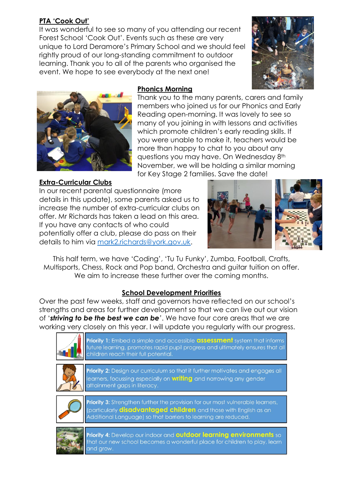# **PTA 'Cook Out'**

It was wonderful to see so many of you attending our recent Forest School 'Cook Out'. Events such as these are very unique to Lord Deramore's Primary School and we should feel rightly proud of our long-standing commitment to outdoor learning. Thank you to all of the parents who organised the event. We hope to see everybody at the next one!





# **Phonics Morning**

Thank you to the many parents, carers and family members who joined us for our Phonics and Early Reading open-morning. It was lovely to see so many of you joining in with lessons and activities which promote children's early reading skills. If you were unable to make it, teachers would be more than happy to chat to you about any questions you may have. On Wednesday 8th November, we will be holding a similar morning for Key Stage 2 families. Save the date!

### **Extra-Curricular Clubs**

In our recent parental questionnaire (more details in this update), some parents asked us to increase the number of extra-curricular clubs on offer. Mr Richards has taken a lead on this area. If you have any contacts of who could potentially offer a club, please do pass on their details to him via [mark2.richards@york.gov.uk.](mailto:mark2.richards@york.gov.uk)



This half term, we have 'Coding', 'Tu Tu Funky', Zumba, Football, Crafts, Multisports, Chess, Rock and Pop band, Orchestra and guitar tuition on offer. We aim to increase these further over the coming months.

# **School Development Priorities**

Over the past few weeks, staff and governors have reflected on our school's strengths and areas for further development so that we can live out our vision of '*striving to be the best we can be'*. We have four core areas that we are working very closely on this year. I will update you regularly with our progress.



**Priority 1:** Embed a simple and accessible **assessment** system that informs future learning, promotes rapid pupil progress and ultimately ensures that all children reach their full potential.



**Priority 2:** Design our curriculum so that it further motivates and engages all learners, focussing especially on **writing** and narrowing any gender attainment gaps in literacy.



Priority 3: Strengthen further the provision for our most vulnerable learners, (particularly **disadvantaged children** and those with English as an Additional Language) so that barriers to learning are reduced.



Priority 4: Develop our indoor and **outdoor learning environments** so that our new school becomes a wonderful place for children to play, learn and grow.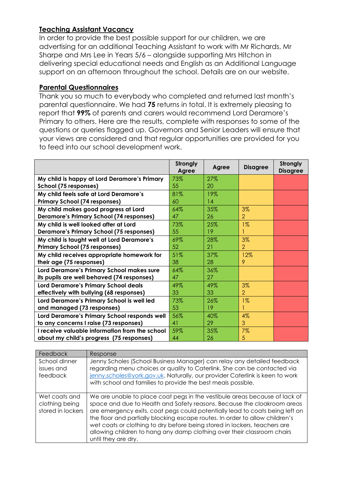### **Teaching Assistant Vacancy**

In order to provide the best possible support for our children, we are advertising for an additional Teaching Assistant to work with Mr Richards, Mr Sharpe and Mrs Lee in Years 5/6 – alongside supporting Mrs Hitchon in delivering special educational needs and English as an Additional Language support on an afternoon throughout the school. Details are on our website.

#### **Parental Questionnaires**

Thank you so much to everybody who completed and returned last month's parental questionnaire. We had **75** returns in total. It is extremely pleasing to report that **99%** of parents and carers would recommend Lord Deramore's Primary to others. Here are the results, complete with responses to some of the questions or queries flagged up. Governors and Senior Leaders will ensure that your views are considered and that regular opportunities are provided for you to feed into our school development work.

|                                                                                          | Strongly<br>Agree | Agree     | <b>Disagree</b> | Strongly<br><b>Disagree</b> |
|------------------------------------------------------------------------------------------|-------------------|-----------|-----------------|-----------------------------|
| My child is happy at Lord Deramore's Primary<br>School (75 responses)                    | 73%<br>55         | 27%<br>20 |                 |                             |
| My child feels safe at Lord Deramore's<br><b>Primary School (74 responses)</b>           | 81%<br>60         | 19%<br>14 |                 |                             |
| My child makes good progress at Lord                                                     | 64%               | 35%       | 3%              |                             |
| <b>Deramore's Primary School (74 responses)</b>                                          | 47                | 26        | $\overline{2}$  |                             |
| My child is well looked after at Lord<br><b>Deramore's Primary School (75 responses)</b> | 73%<br>55         | 25%<br>19 | $1\%$           |                             |
| My child is taught well at Lord Deramore's                                               | 69%               | 28%       | 3%              |                             |
| <b>Primary School (75 responses)</b>                                                     | 52                | 21        | $\overline{2}$  |                             |
| My child receives appropriate homework for                                               | 51%               | 37%       | 12%             |                             |
| their age (75 responses)                                                                 | 38                | 28        | 9               |                             |
| Lord Deramore's Primary School makes sure<br>its pupils are well behaved (74 responses)  | 64%<br>47         | 36%<br>27 |                 |                             |
| <b>Lord Deramore's Primary School deals</b>                                              | 49%               | 49%       | 3%              |                             |
| effectively with bullying (68 responses)                                                 | 33                | 33        | $\overline{2}$  |                             |
| Lord Deramore's Primary School is well led<br>and managed (73 responses)                 | 73%<br>53         | 26%<br>19 | $1\%$           |                             |
| Lord Deramore's Primary School responds well                                             | 56%               | 40%       | 4%              |                             |
| to any concerns I raise (73 responses)                                                   | 41                | 29        | 3               |                             |
| I receive valuable information from the school                                           | 59%               | 35%       | 7%              |                             |
| about my child's progress (75 responses)                                                 | 44                | 26        | 5               |                             |

| Feedback                                             | Response                                                                                                                                                                                                                                                                                                                                                                                                                                                                                             |
|------------------------------------------------------|------------------------------------------------------------------------------------------------------------------------------------------------------------------------------------------------------------------------------------------------------------------------------------------------------------------------------------------------------------------------------------------------------------------------------------------------------------------------------------------------------|
| School dinner<br>issues and<br>feedback              | Jenny Scholes (School Business Manager) can relay any detailed feedback<br>regarding menu choices or quality to Caterlink. She can be contacted via<br>jenny.scholes@york.gov.uk. Naturally, our provider Caterlink is keen to work<br>with school and families to provide the best meals possible.                                                                                                                                                                                                  |
| Wet coats and<br>clothing being<br>stored in lockers | We are unable to place coat pegs in the vestibule areas because of lack of<br>space and due to Health and Safety reasons. Because the cloakroom areas<br>are emergency exits, coat pegs could potentially lead to coats being left on<br>the floor and partially blocking escape routes. In order to allow children's<br>wet coats or clothing to dry before being stored in lockers, teachers are<br>allowing children to hang any damp clothing over their classroom chairs<br>until they are dry. |